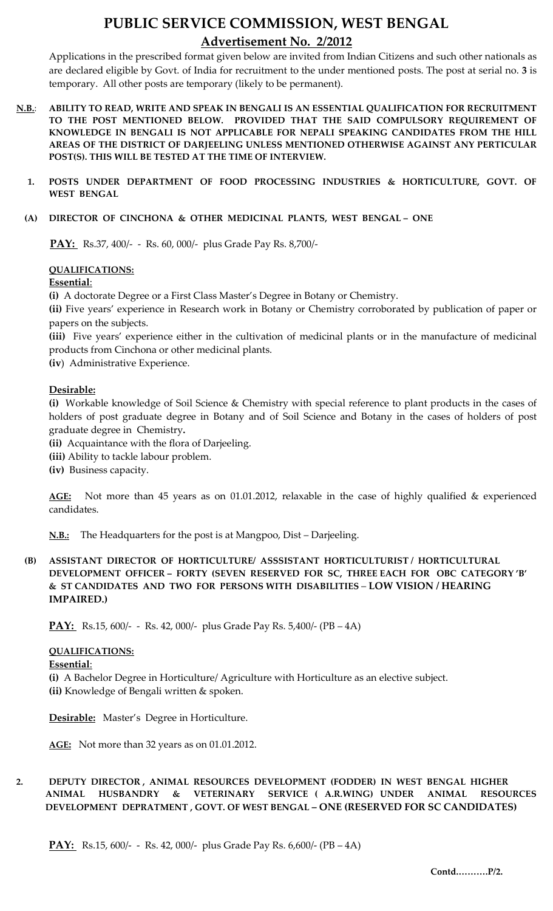## **PUBLIC SERVICE COMMISSION, WEST BENGAL Advertisement No. 2/2012**

Applications in the prescribed format given below are invited from Indian Citizens and such other nationals as are declared eligible by Govt. of India for recruitment to the under mentioned posts. The post at serial no. **3** is temporary. All other posts are temporary (likely to be permanent).

- **N.B.**: **ABILITY TO READ, WRITE AND SPEAK IN BENGALI IS AN ESSENTIAL QUALIFICATION FOR RECRUITMENT TO THE POST MENTIONED BELOW. PROVIDED THAT THE SAID COMPULSORY REQUIREMENT OF KNOWLEDGE IN BENGALI IS NOT APPLICABLE FOR NEPALI SPEAKING CANDIDATES FROM THE HILL AREAS OF THE DISTRICT OF DARJEELING UNLESS MENTIONED OTHERWISE AGAINST ANY PERTICULAR POST(S). THIS WILL BE TESTED AT THE TIME OF INTERVIEW.**
	- **1. POSTS UNDER DEPARTMENT OF FOOD PROCESSING INDUSTRIES & HORTICULTURE, GOVT. OF WEST BENGAL**
	- **(A) DIRECTOR OF CINCHONA & OTHER MEDICINAL PLANTS, WEST BENGAL ONE**

 **PAY:** Rs.37, 400/- - Rs. 60, 000/- plus Grade Pay Rs. 8,700/-

#### **QUALIFICATIONS:**

#### **Essential**:

**(i)** A doctorate Degree or a First Class Master's Degree in Botany or Chemistry.

**(ii)** Five years' experience in Research work in Botany or Chemistry corroborated by publication of paper or papers on the subjects.

**(iii)** Five years' experience either in the cultivation of medicinal plants or in the manufacture of medicinal products from Cinchona or other medicinal plants.

**(iv**) Administrative Experience.

#### **Desirable:**

**(i)** Workable knowledge of Soil Science & Chemistry with special reference to plant products in the cases of holders of post graduate degree in Botany and of Soil Science and Botany in the cases of holders of post graduate degree in Chemistry**.**

**(ii)** Acquaintance with the flora of Darjeeling.

**(iii)** Ability to tackle labour problem.

**(iv)** Business capacity.

**AGE:** Not more than 45 years as on 01.01.2012, relaxable in the case of highly qualified & experienced candidates.

**N.B.:** The Headquarters for the post is at Mangpoo, Dist – Darjeeling.

**(B) ASSISTANT DIRECTOR OF HORTICULTURE/ ASSSISTANT HORTICULTURIST / HORTICULTURAL DEVELOPMENT OFFICER – FORTY (SEVEN RESERVED FOR SC, THREE EACH FOR OBC CATEGORY 'B' & ST CANDIDATES AND TWO FOR PERSONS WITH DISABILITIES** – **LOW VISION / HEARING IMPAIRED.)**

**PAY:** Rs.15, 600/- - Rs. 42, 000/- plus Grade Pay Rs. 5,400/- (PB – 4A)

#### **QUALIFICATIONS:**

#### **Essential**:

**(i)** A Bachelor Degree in Horticulture/ Agriculture with Horticulture as an elective subject. **(ii)** Knowledge of Bengali written & spoken.

**Desirable:** Master's Degree in Horticulture.

**AGE:** Not more than 32 years as on 01.01.2012.

### **2. DEPUTY DIRECTOR , ANIMAL RESOURCES DEVELOPMENT (FODDER) IN WEST BENGAL HIGHER ANIMAL HUSBANDRY & VETERINARY SERVICE ( A.R.WING) UNDER ANIMAL RESOURCES DEVELOPMENT DEPRATMENT , GOVT. OF WEST BENGAL – ONE (RESERVED FOR SC CANDIDATES)**

**PAY:** Rs.15, 600/- - Rs. 42, 000/- plus Grade Pay Rs. 6,600/- (PB – 4A)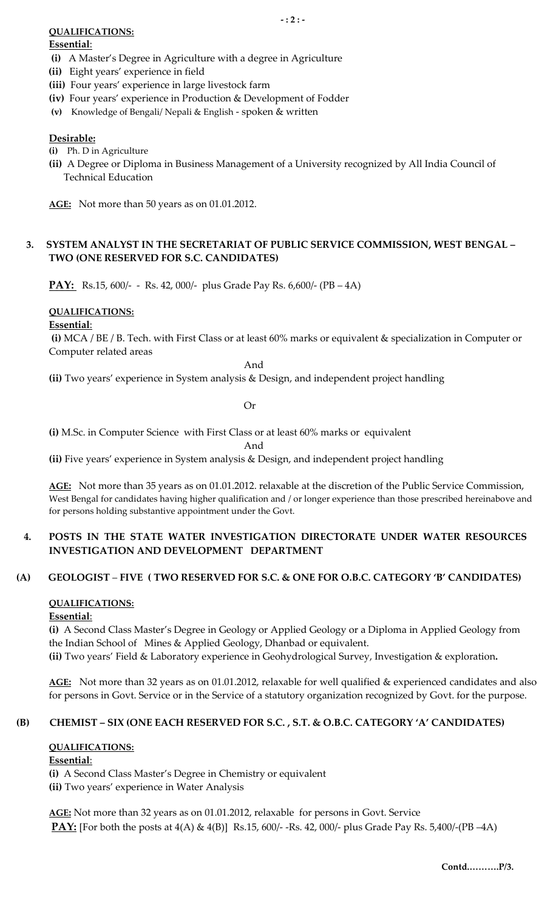### **QUALIFICATIONS:**

#### **Essential**:

- **(i)** A Master's Degree in Agriculture with a degree in Agriculture
- **(ii)** Eight years' experience in field
- **(iii)** Four years' experience in large livestock farm
- **(iv)** Four years' experience in Production & Development of Fodder
- **(v)** Knowledge of Bengali/ Nepali & English spoken & written

### **Desirable:**

- **(i)** Ph. D in Agriculture
- **(ii)** A Degree or Diploma in Business Management of a University recognized by All India Council of Technical Education

**AGE:** Not more than 50 years as on 01.01.2012.

## **3. SYSTEM ANALYST IN THE SECRETARIAT OF PUBLIC SERVICE COMMISSION, WEST BENGAL – TWO (ONE RESERVED FOR S.C. CANDIDATES)**

**PAY:** Rs.15, 600/- - Rs. 42, 000/- plus Grade Pay Rs. 6,600/- (PB – 4A)

## **QUALIFICATIONS:**

#### **Essential**:

**(i)** MCA / BE / B. Tech. with First Class or at least 60% marks or equivalent & specialization in Computer or Computer related areas

And

**(ii)** Two years' experience in System analysis & Design, and independent project handling

Or

**(i)** M.Sc. in Computer Science with First Class or at least 60% marks or equivalent

And

**(ii)** Five years' experience in System analysis & Design, and independent project handling

**AGE:** Not more than 35 years as on 01.01.2012. relaxable at the discretion of the Public Service Commission, West Bengal for candidates having higher qualification and / or longer experience than those prescribed hereinabove and for persons holding substantive appointment under the Govt.

## **4. POSTS IN THE STATE WATER INVESTIGATION DIRECTORATE UNDER WATER RESOURCES INVESTIGATION AND DEVELOPMENT DEPARTMENT**

## **(A) GEOLOGIST** – **FIVE ( TWO RESERVED FOR S.C. & ONE FOR O.B.C. CATEGORY 'B' CANDIDATES)**

#### **QUALIFICATIONS:**

#### **Essential**:

**(i)** A Second Class Master's Degree in Geology or Applied Geology or a Diploma in Applied Geology from the Indian School of Mines & Applied Geology, Dhanbad or equivalent.

**(ii)** Two years' Field & Laboratory experience in Geohydrological Survey, Investigation & exploration**.** 

**AGE:** Not more than 32 years as on 01.01.2012, relaxable for well qualified & experienced candidates and also for persons in Govt. Service or in the Service of a statutory organization recognized by Govt. for the purpose.

#### **(B) CHEMIST – SIX (ONE EACH RESERVED FOR S.C. , S.T. & O.B.C. CATEGORY 'A' CANDIDATES)**

#### **QUALIFICATIONS:**

#### **Essential**:

**(i)** A Second Class Master's Degree in Chemistry or equivalent **(ii)** Two years' experience in Water Analysis

**AGE:** Not more than 32 years as on 01.01.2012, relaxable for persons in Govt. Service **PAY:** [For both the posts at 4(A) & 4(B)] Rs.15, 600/- -Rs. 42, 000/- plus Grade Pay Rs. 5,400/-(PB –4A)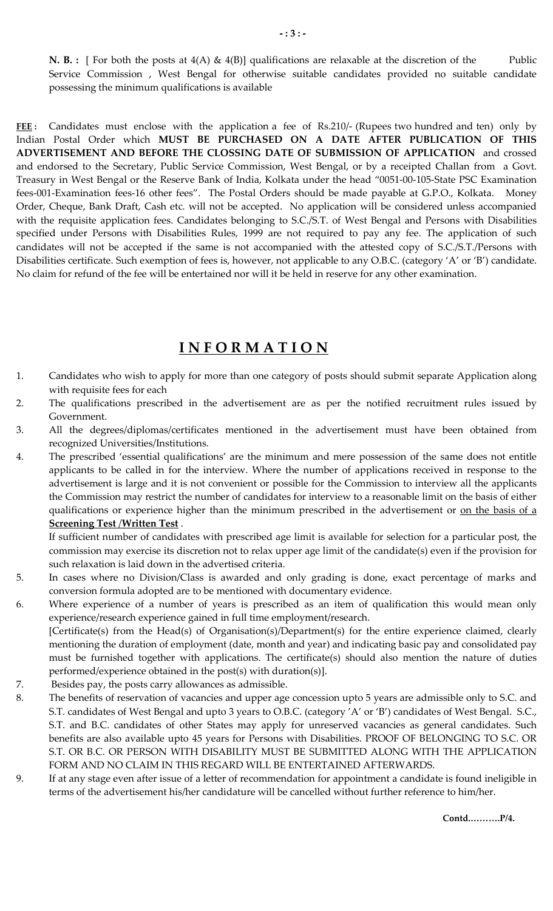**N. B. :** [ For both the posts at 4(A) & 4(B)] qualifications are relaxable at the discretion of the Public Service Commission , West Bengal for otherwise suitable candidates provided no suitable candidate possessing the minimum qualifications is available

**FEE :** Candidates must enclose with the application a fee of Rs.210/- (Rupees two hundred and ten) only by Indian Postal Order which **MUST BE PURCHASED ON A DATE AFTER PUBLICATION OF THIS ADVERTISEMENT AND BEFORE THE CLOSSING DATE OF SUBMISSION OF APPLICATION** and crossed and endorsed to the Secretary, Public Service Commission, West Bengal, or by a receipted Challan from a Govt. Treasury in West Bengal or the Reserve Bank of India, Kolkata under the head "0051-00-105-State PSC Examination fees-001-Examination fees-16 other fees". The Postal Orders should be made payable at G.P.O., Kolkata. Money Order, Cheque, Bank Draft, Cash etc. will not be accepted. No application will be considered unless accompanied with the requisite application fees. Candidates belonging to S.C./S.T. of West Bengal and Persons with Disabilities specified under Persons with Disabilities Rules, 1999 are not required to pay any fee. The application of such candidates will not be accepted if the same is not accompanied with the attested copy of S.C./S.T./Persons with Disabilities certificate. Such exemption of fees is, however, not applicable to any O.B.C. (category 'A' or 'B') candidate. No claim for refund of the fee will be entertained nor will it be held in reserve for any other examination.

## **I N F O R M A T I O N**

- 1. Candidates who wish to apply for more than one category of posts should submit separate Application along with requisite fees for each
- 2. The qualifications prescribed in the advertisement are as per the notified recruitment rules issued by Government.
- 3. All the degrees/diplomas/certificates mentioned in the advertisement must have been obtained from recognized Universities/Institutions.
- 4. The prescribed 'essential qualifications' are the minimum and mere possession of the same does not entitle applicants to be called in for the interview. Where the number of applications received in response to the advertisement is large and it is not convenient or possible for the Commission to interview all the applicants the Commission may restrict the number of candidates for interview to a reasonable limit on the basis of either qualifications or experience higher than the minimum prescribed in the advertisement or on the basis of a **Screening Test** /**Written Test** .

 If sufficient number of candidates with prescribed age limit is available for selection for a particular post, the commission may exercise its discretion not to relax upper age limit of the candidate(s) even if the provision for such relaxation is laid down in the advertised criteria.

- 5. In cases where no Division/Class is awarded and only grading is done, exact percentage of marks and conversion formula adopted are to be mentioned with documentary evidence.
- 6. Where experience of a number of years is prescribed as an item of qualification this would mean only experience/research experience gained in full time employment/research. [Certificate(s) from the Head(s) of Organisation(s)/Department(s) for the entire experience claimed, clearly mentioning the duration of employment (date, month and year) and indicating basic pay and consolidated pay must be furnished together with applications. The certificate(s) should also mention the nature of duties performed/experience obtained in the post(s) with duration(s)].
- 7. Besides pay, the posts carry allowances as admissible.
- 8. The benefits of reservation of vacancies and upper age concession upto 5 years are admissible only to S.C. and S.T. candidates of West Bengal and upto 3 years to O.B.C. (category 'A' or 'B') candidates of West Bengal. S.C., S.T. and B.C. candidates of other States may apply for unreserved vacancies as general candidates. Such benefits are also available upto 45 years for Persons with Disabilities. PROOF OF BELONGING TO S.C. OR S.T. OR B.C. OR PERSON WITH DISABILITY MUST BE SUBMITTED ALONG WITH THE APPLICATION FORM AND NO CLAIM IN THIS REGARD WILL BE ENTERTAINED AFTERWARDS.
- 9. If at any stage even after issue of a letter of recommendation for appointment a candidate is found ineligible in terms of the advertisement his/her candidature will be cancelled without further reference to him/her.

**Contd.……….P/4.**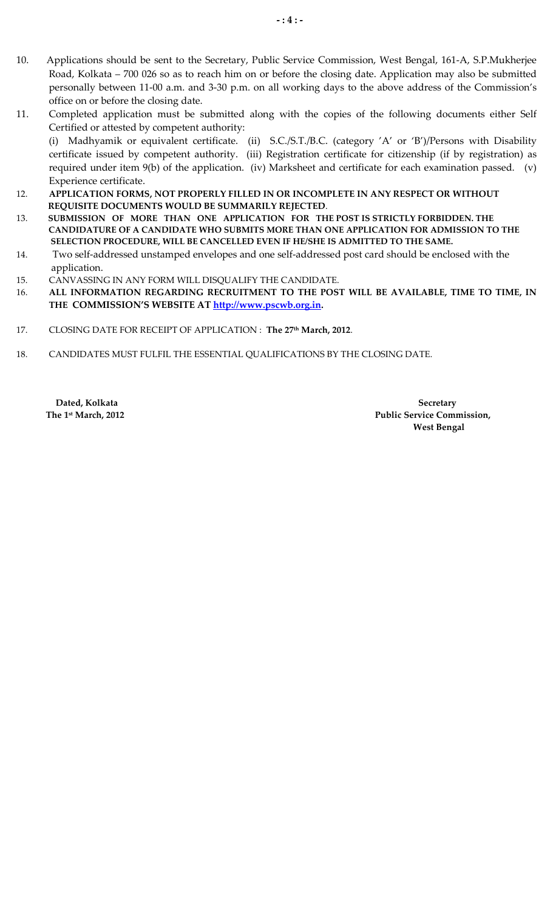- 10. Applications should be sent to the Secretary, Public Service Commission, West Bengal, 161-A, S.P.Mukherjee Road, Kolkata – 700 026 so as to reach him on or before the closing date. Application may also be submitted personally between 11-00 a.m. and 3-30 p.m. on all working days to the above address of the Commission's office on or before the closing date.
- 11. Completed application must be submitted along with the copies of the following documents either Self Certified or attested by competent authority:

(i) Madhyamik or equivalent certificate. (ii) S.C./S.T./B.C. (category 'A' or 'B')/Persons with Disability certificate issued by competent authority. (iii) Registration certificate for citizenship (if by registration) as required under item 9(b) of the application. (iv) Marksheet and certificate for each examination passed. (v) Experience certificate.

- 12. **APPLICATION FORMS, NOT PROPERLY FILLED IN OR INCOMPLETE IN ANY RESPECT OR WITHOUT REQUISITE DOCUMENTS WOULD BE SUMMARILY REJECTED**.
- 13. **SUBMISSION OF MORE THAN ONE APPLICATION FOR THE POST IS STRICTLY FORBIDDEN. THE CANDIDATURE OF A CANDIDATE WHO SUBMITS MORE THAN ONE APPLICATION FOR ADMISSION TO THE SELECTION PROCEDURE, WILL BE CANCELLED EVEN IF HE/SHE IS ADMITTED TO THE SAME.**
- 14. Two self-addressed unstamped envelopes and one self-addressed post card should be enclosed with the application.
- 15. CANVASSING IN ANY FORM WILL DISQUALIFY THE CANDIDATE.
- 16. **ALL INFORMATION REGARDING RECRUITMENT TO THE POST WILL BE AVAILABLE, TIME TO TIME, IN THE COMMISSION'S WEBSITE AT http://www.pscwb.org.in.**
- 17. CLOSING DATE FOR RECEIPT OF APPLICATION : **The 27th March, 2012**.
- 18. CANDIDATES MUST FULFIL THE ESSENTIAL QUALIFICATIONS BY THE CLOSING DATE.

**Dated, Kolkata Secretary** Secretary  **The 1st March, 2012 Public Service Commission, West Bengal**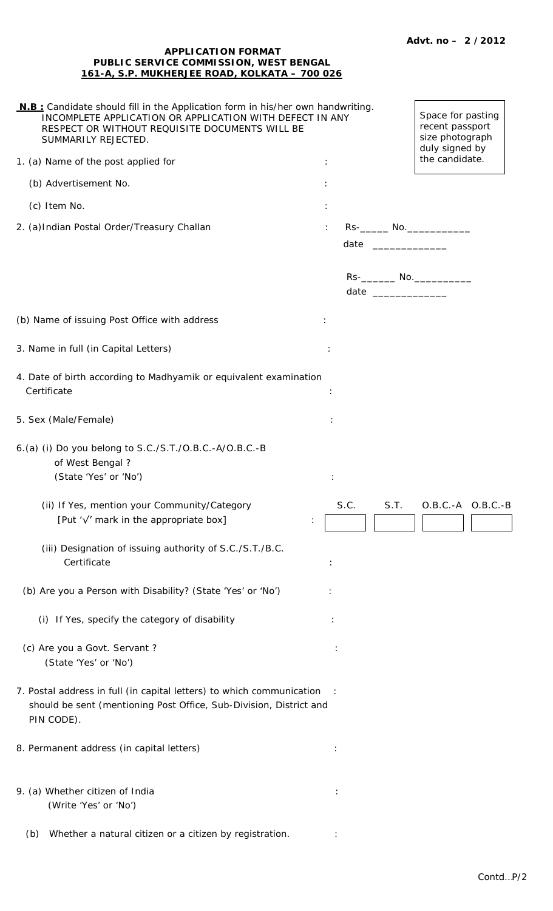#### **APPLICATION FORMAT PUBLIC SERVICE COMMISSION, WEST BENGAL 161-A, S.P. MUKHERJEE ROAD, KOLKATA – 700 026**

| N.B: Candidate should fill in the Application form in his/her own handwriting.<br>INCOMPLETE APPLICATION OR APPLICATION WITH DEFECT IN ANY<br>RESPECT OR WITHOUT REQUISITE DOCUMENTS WILL BE<br>SUMMARILY REJECTED. |   |      |  |      | Space for pasting<br>recent passport<br>size photograph<br>duly signed by |                       |
|---------------------------------------------------------------------------------------------------------------------------------------------------------------------------------------------------------------------|---|------|--|------|---------------------------------------------------------------------------|-----------------------|
| 1. (a) Name of the post applied for                                                                                                                                                                                 | ÷ |      |  |      | the candidate.                                                            |                       |
| (b) Advertisement No.                                                                                                                                                                                               |   |      |  |      |                                                                           |                       |
| (c) Item No.                                                                                                                                                                                                        |   |      |  |      |                                                                           |                       |
| 2. (a) Indian Postal Order/Treasury Challan                                                                                                                                                                         |   |      |  |      | date ______________                                                       |                       |
|                                                                                                                                                                                                                     |   |      |  |      | Rs-__________ No.______________<br>date _______________                   |                       |
| (b) Name of issuing Post Office with address                                                                                                                                                                        |   |      |  |      |                                                                           |                       |
| 3. Name in full (in Capital Letters)                                                                                                                                                                                |   |      |  |      |                                                                           |                       |
| 4. Date of birth according to Madhyamik or equivalent examination<br>Certificate                                                                                                                                    |   |      |  |      |                                                                           |                       |
| 5. Sex (Male/Female)                                                                                                                                                                                                |   |      |  |      |                                                                           |                       |
| 6.(a) (i) Do you belong to S.C./S.T./O.B.C.-A/O.B.C.-B<br>of West Bengal?<br>(State 'Yes' or 'No')                                                                                                                  |   |      |  |      |                                                                           |                       |
| (ii) If Yes, mention your Community/Category<br>[Put ' $\sqrt{'}$ mark in the appropriate box]                                                                                                                      |   | S.C. |  | S.T. |                                                                           | $O.B.C.-A$ $O.B.C.-B$ |
| (iii) Designation of issuing authority of S.C./S.T./B.C.<br>Certificate                                                                                                                                             |   |      |  |      |                                                                           |                       |
| (b) Are you a Person with Disability? (State 'Yes' or 'No')                                                                                                                                                         |   |      |  |      |                                                                           |                       |
| (i) If Yes, specify the category of disability                                                                                                                                                                      |   |      |  |      |                                                                           |                       |
| (c) Are you a Govt. Servant?<br>(State 'Yes' or 'No')                                                                                                                                                               |   |      |  |      |                                                                           |                       |
| 7. Postal address in full (in capital letters) to which communication<br>should be sent (mentioning Post Office, Sub-Division, District and<br>PIN CODE).                                                           |   |      |  |      |                                                                           |                       |
| 8. Permanent address (in capital letters)                                                                                                                                                                           |   |      |  |      |                                                                           |                       |
| 9. (a) Whether citizen of India<br>(Write 'Yes' or 'No')                                                                                                                                                            |   |      |  |      |                                                                           |                       |
| Whether a natural citizen or a citizen by registration.<br>(b)                                                                                                                                                      |   |      |  |      |                                                                           |                       |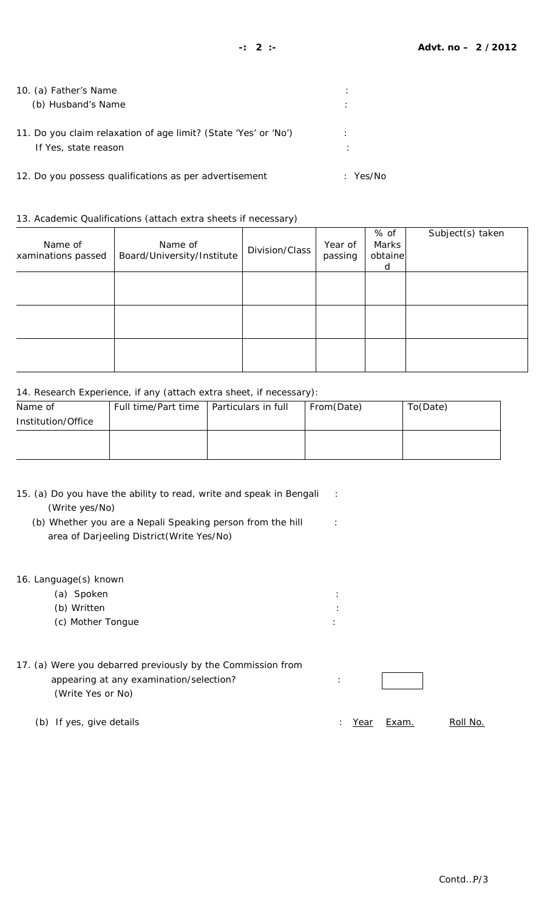| 10. (a) Father's Name<br>(b) Husband's Name                                             | ٠            |
|-----------------------------------------------------------------------------------------|--------------|
| 11. Do you claim relaxation of age limit? (State 'Yes' or 'No')<br>If Yes, state reason |              |
| 12. Do you possess qualifications as per advertisement                                  | Yes/No<br>٠. |

13. Academic Qualifications (attach extra sheets if necessary)

| Name of<br>xaminations passed | Name of<br>Board/University/Institute | Division/Class | Year of<br>passing | % of<br>Marks<br>obtaine<br>d | Subject(s) taken |
|-------------------------------|---------------------------------------|----------------|--------------------|-------------------------------|------------------|
|                               |                                       |                |                    |                               |                  |
|                               |                                       |                |                    |                               |                  |
|                               |                                       |                |                    |                               |                  |

#### 14. Research Experience, if any (attach extra sheet, if necessary):

| Name of            | Full time/Part time   Particulars in full | From(Date) | To(Date) |
|--------------------|-------------------------------------------|------------|----------|
| Institution/Office |                                           |            |          |
|                    |                                           |            |          |
|                    |                                           |            |          |

| 15. (a) Do you have the ability to read, write and speak in Bengali |  |
|---------------------------------------------------------------------|--|
| (Write yes/No)                                                      |  |

- (b) Whether you are a Nepali Speaking person from the hill : area of Darjeeling District(Write Yes/No)
- 16. Language(s) known
	- (a) Spoken : (b) Written : (c) Mother Tongue :
- 17. (a) Were you debarred previously by the Commission from appearing at any examination/selection?  $\cdot$  : (Write Yes or No)
	- (b) If yes, give details  $\frac{1}{2}$  is the contract of the contract of the contract of the contract of the contract of the contract of the contract of the contract of the contract of the contract of the contract of the cont